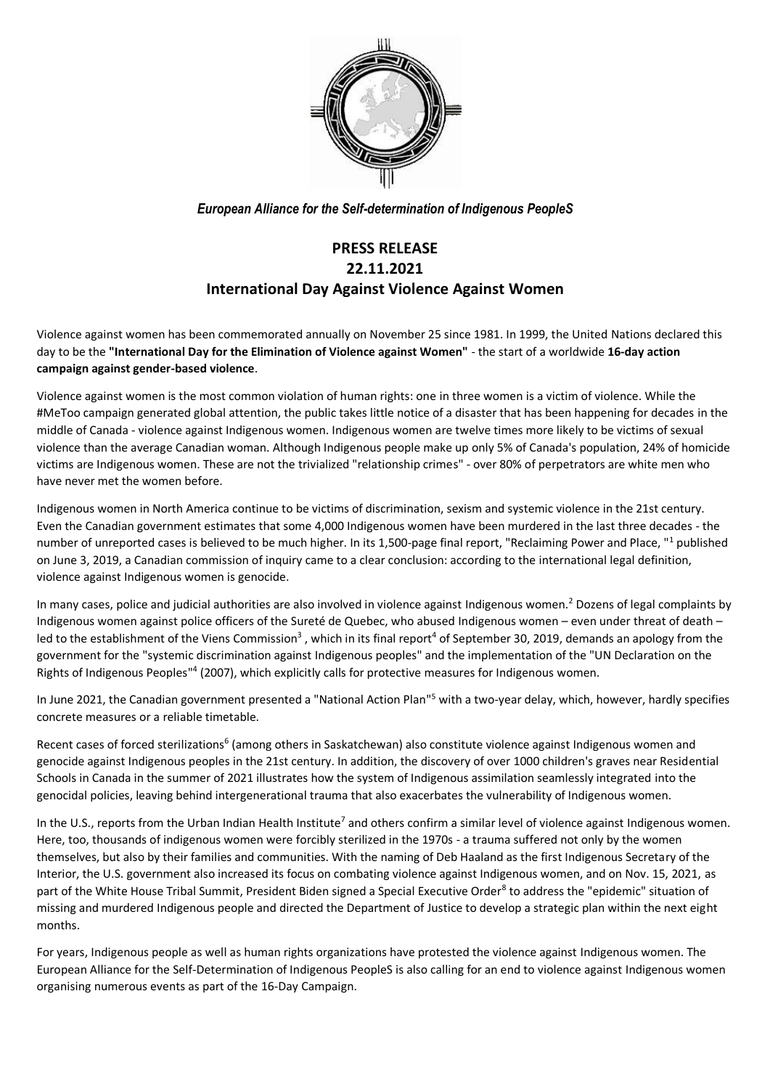

*European Alliance for the Self-determination of Indigenous PeopleS*

## **PRESS RELEASE 22.11.2021 International Day Against Violence Against Women**

Violence against women has been commemorated annually on November 25 since 1981. In 1999, the United Nations declared this day to be the **"International Day for the Elimination of Violence against Women"** - the start of a worldwide **16-day action campaign against gender-based violence**.

Violence against women is the most common violation of human rights: one in three women is a victim of violence. While the #MeToo campaign generated global attention, the public takes little notice of a disaster that has been happening for decades in the middle of Canada - violence against Indigenous women. Indigenous women are twelve times more likely to be victims of sexual violence than the average Canadian woman. Although Indigenous people make up only 5% of Canada's population, 24% of homicide victims are Indigenous women. These are not the trivialized "relationship crimes" - over 80% of perpetrators are white men who have never met the women before.

Indigenous women in North America continue to be victims of discrimination, sexism and systemic violence in the 21st century. Even the Canadian government estimates that some 4,000 Indigenous women have been murdered in the last three decades - the number of unreported cases is believed to be much higher. In its 1,500-page final report, "Reclaiming Power and Place, "<sup>1</sup> published on June 3, 2019, a Canadian commission of inquiry came to a clear conclusion: according to the international legal definition, violence against Indigenous women is genocide.

In many cases, police and judicial authorities are also involved in violence against Indigenous women.<sup>2</sup> Dozens of legal complaints by Indigenous women against police officers of the Sureté de Quebec, who abused Indigenous women – even under threat of death – led to the establishment of the Viens Commission<sup>3</sup>, which in its final report<sup>4</sup> of September 30, 2019, demands an apology from the government for the "systemic discrimination against Indigenous peoples" and the implementation of the "UN Declaration on the Rights of Indigenous Peoples<sup>114</sup> (2007), which explicitly calls for protective measures for Indigenous women.

In June 2021, the Canadian government presented a "National Action Plan"<sup>5</sup> with a two-year delay, which, however, hardly specifies concrete measures or a reliable timetable.

Recent cases of forced sterilizations<sup>6</sup> (among others in Saskatchewan) also constitute violence against Indigenous women and genocide against Indigenous peoples in the 21st century. In addition, the discovery of over 1000 children's graves near Residential Schools in Canada in the summer of 2021 illustrates how the system of Indigenous assimilation seamlessly integrated into the genocidal policies, leaving behind intergenerational trauma that also exacerbates the vulnerability of Indigenous women.

In the U.S., reports from the Urban Indian Health Institute<sup>7</sup> and others confirm a similar level of violence against Indigenous women. Here, too, thousands of indigenous women were forcibly sterilized in the 1970s - a trauma suffered not only by the women themselves, but also by their families and communities. With the naming of Deb Haaland as the first Indigenous Secretary of the Interior, the U.S. government also increased its focus on combating violence against Indigenous women, and on Nov. 15, 2021, as part of the White House Tribal Summit, President Biden signed a Special Executive Order<sup>8</sup> to address the "epidemic" situation of missing and murdered Indigenous people and directed the Department of Justice to develop a strategic plan within the next eight months.

For years, Indigenous people as well as human rights organizations have protested the violence against Indigenous women. The European Alliance for the Self-Determination of Indigenous PeopleS is also calling for an end to violence against Indigenous women organising numerous events as part of the 16-Day Campaign.